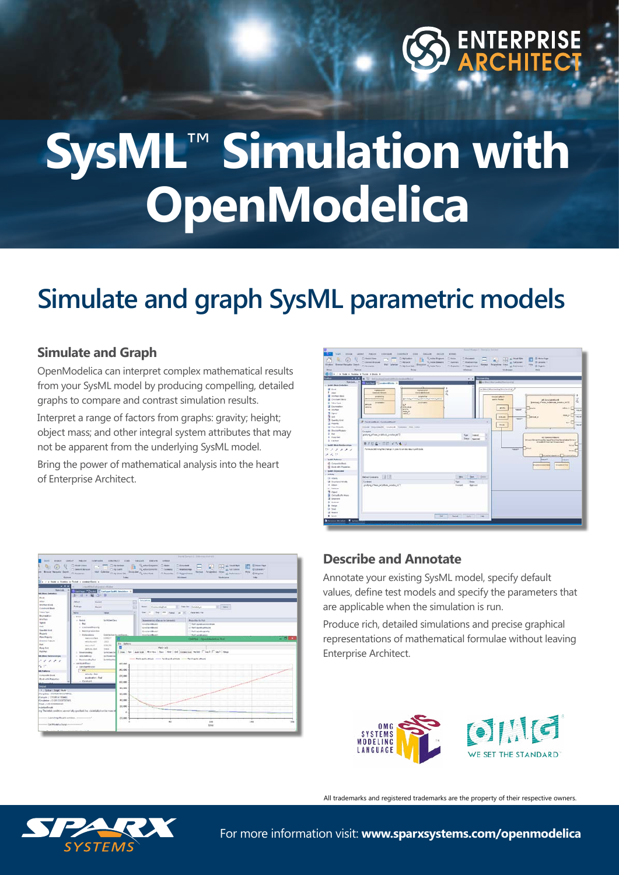

# **SysML**™ **Simulation with OpenModelica**

## **Simulate and graph SysML parametric models**

### **Simulate and Graph**

OpenModelica can interpret complex mathematical results from your SysML model by producing compelling, detailed graphs to compare and contrast simulation results.

Interpret a range of factors from graphs: gravity; height; object mass; and other integral system attributes that may not be apparent from the underlying SysML model.

Bring the power of mathematical analysis into the heart of Enterprise Architect.





### **Describe and Annotate**

Annotate your existing SysML model, specify default values, define test models and specify the parameters that are applicable when the simulation is run.

Produce rich, detailed simulations and precise graphical representations of mathematical formulae without leaving Enterprise Architect.



All trademarks and registered trademarks are the property of their respective owners.



For more information visit: **www.sparxsystems.com/openmodelica**